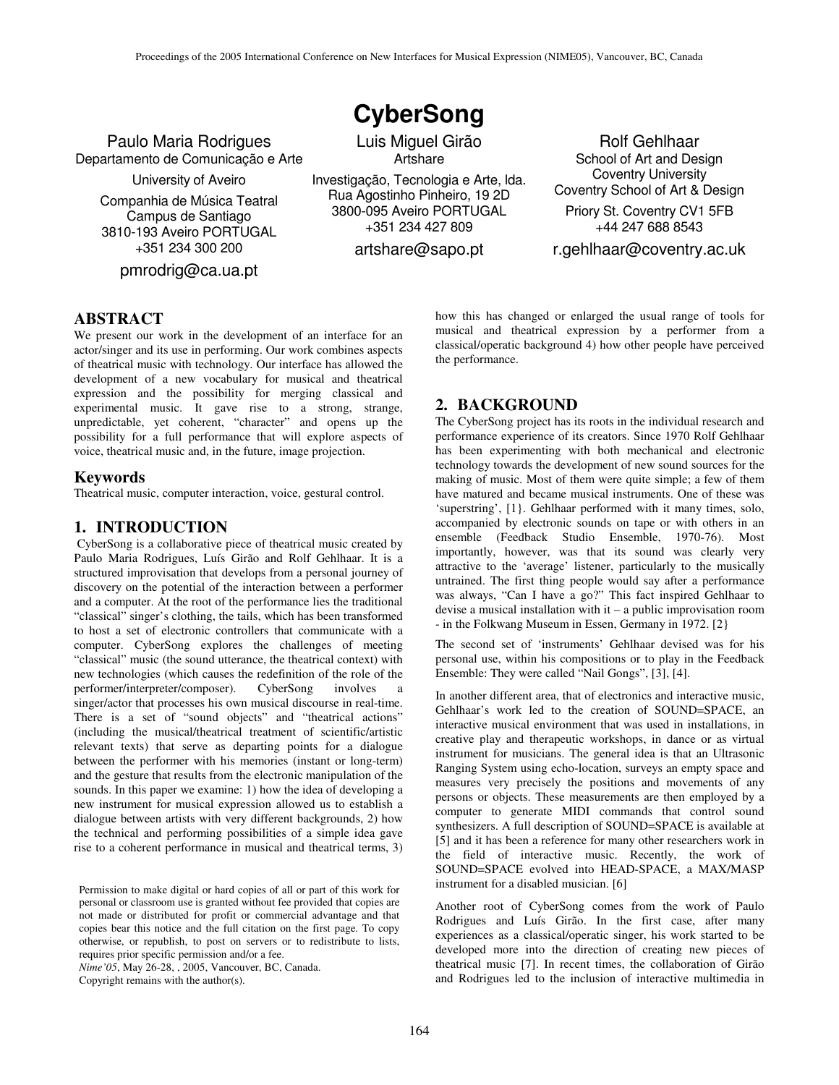Paulo Maria Rodrigues Departamento de Comunicação e Arte

University of Aveiro

Companhia de Música Teatral Campus de Santiago 3810-193 Aveiro PORTUGAL +351 234 300 200

pmrodrig@ca.ua.pt

**CyberSong**

Luis Miguel Girão **Artshare** 

Investigação, Tecnologia e Arte, lda. Rua Agostinho Pinheiro, 19 2D 3800-095 Aveiro PORTUGAL +351 234 427 809

artshare@sapo.pt

Rolf Gehlhaar School of Art and Design Coventry University Coventry School of Art & Design Priory St. Coventry CV1 5FB +44 247 688 8543

r.gehlhaar@coventry.ac.uk

## **ABSTRACT**

We present our work in the development of an interface for an actor/singer and its use in performing. Our work combines aspects of theatrical music with technology. Our interface has allowed the development of a new vocabulary for musical and theatrical expression and the possibility for merging classical and experimental music. It gave rise to a strong, strange, unpredictable, yet coherent, "character" and opens up the possibility for a full performance that will explore aspects of voice, theatrical music and, in the future, image projection.

#### **Keywords**

Theatrical music, computer interaction, voice, gestural control.

#### **1. INTRODUCTION**

CyberSong is a collaborative piece of theatrical music created by Paulo Maria Rodrigues, Luís Girão and Rolf Gehlhaar. It is a structured improvisation that develops from a personal journey of discovery on the potential of the interaction between a performer and a computer. At the root of the performance lies the traditional "classical" singer's clothing, the tails, which has been transformed to host a set of electronic controllers that communicate with a computer. CyberSong explores the challenges of meeting "classical" music (the sound utterance, the theatrical context) with new technologies (which causes the redefinition of the role of the performer/interpreter/composer). CyberSong involves a singer/actor that processes his own musical discourse in real-time. There is a set of "sound objects" and "theatrical actions" (including the musical/theatrical treatment of scientific/artistic relevant texts) that serve as departing points for a dialogue between the performer with his memories (instant or long-term) and the gesture that results from the electronic manipulation of the sounds. In this paper we examine: 1) how the idea of developing a new instrument for musical expression allowed us to establish a dialogue between artists with very different backgrounds, 2) how the technical and performing possibilities of a simple idea gave rise to a coherent performance in musical and theatrical terms, 3)

Permission to make digital or hard copies of all or part of this work for personal or classroom use is granted without fee provided that copies are not made or distributed for profit or commercial advantage and that copies bear this notice and the full citation on the first page. To copy otherwise, or republish, to post on servers or to redistribute to lists, requires prior specific permission and/or a fee.

*Nime'05*, May 26-28, , 2005, Vancouver, BC, Canada.

Copyright remains with the author(s).

how this has changed or enlarged the usual range of tools for musical and theatrical expression by a performer from a classical/operatic background 4) how other people have perceived the performance.

## **2. BACKGROUND**

The CyberSong project has its roots in the individual research and performance experience of its creators. Since 1970 Rolf Gehlhaar has been experimenting with both mechanical and electronic technology towards the development of new sound sources for the making of music. Most of them were quite simple; a few of them have matured and became musical instruments. One of these was 'superstring', [1}. Gehlhaar performed with it many times, solo, accompanied by electronic sounds on tape or with others in an ensemble (Feedback Studio Ensemble, 1970-76). Most importantly, however, was that its sound was clearly very attractive to the 'average' listener, particularly to the musically untrained. The first thing people would say after a performance was always, "Can I have a go?" This fact inspired Gehlhaar to devise a musical installation with it – a public improvisation room - in the Folkwang Museum in Essen, Germany in 1972. [2}

The second set of 'instruments' Gehlhaar devised was for his personal use, within his compositions or to play in the Feedback Ensemble: They were called "Nail Gongs", [3], [4].

In another different area, that of electronics and interactive music, Gehlhaar's work led to the creation of SOUND=SPACE, an interactive musical environment that was used in installations, in creative play and therapeutic workshops, in dance or as virtual instrument for musicians. The general idea is that an Ultrasonic Ranging System using echo-location, surveys an empty space and measures very precisely the positions and movements of any persons or objects. These measurements are then employed by a computer to generate MIDI commands that control sound synthesizers. A full description of SOUND=SPACE is available at [5] and it has been a reference for many other researchers work in the field of interactive music. Recently, the work of SOUND=SPACE evolved into HEAD-SPACE, a MAX/MASP instrument for a disabled musician. [6]

Another root of CyberSong comes from the work of Paulo Rodrigues and Luís Girão. In the first case, after many experiences as a classical/operatic singer, his work started to be developed more into the direction of creating new pieces of theatrical music [7]. In recent times, the collaboration of Girão and Rodrigues led to the inclusion of interactive multimedia in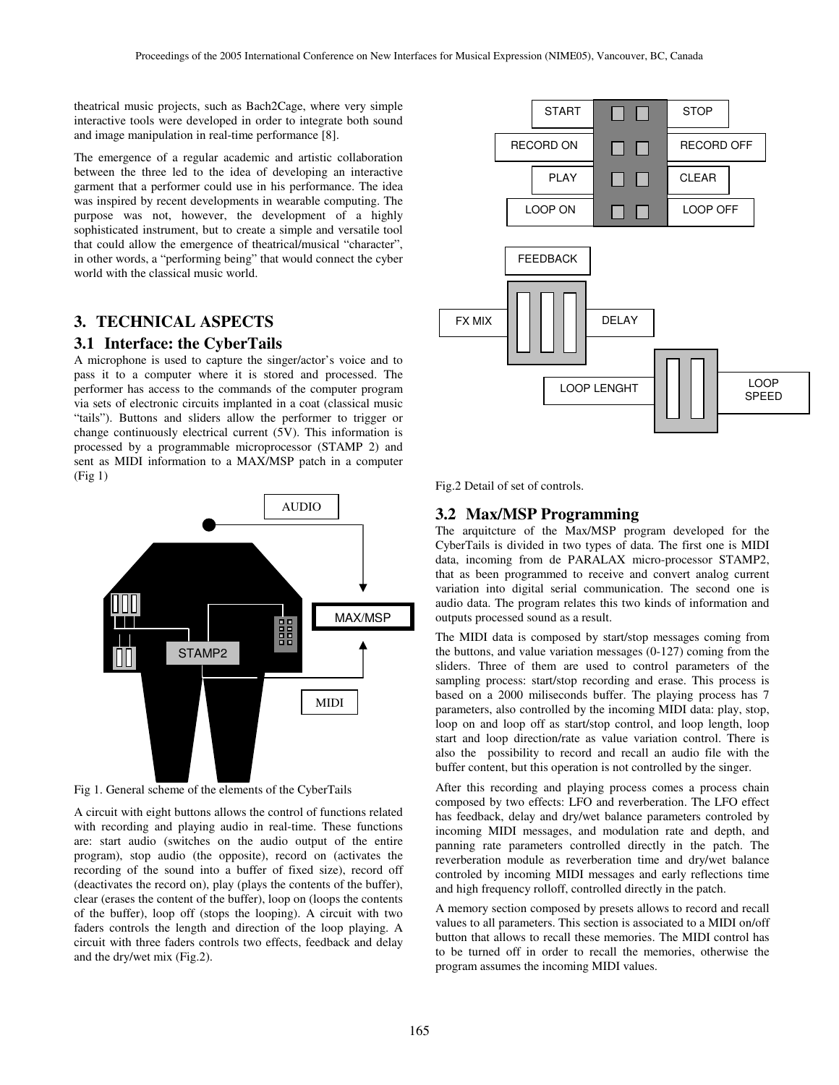theatrical music projects, such as Bach2Cage, where very simple interactive tools were developed in order to integrate both sound and image manipulation in real-time performance [8].

The emergence of a regular academic and artistic collaboration between the three led to the idea of developing an interactive garment that a performer could use in his performance. The idea was inspired by recent developments in wearable computing. The purpose was not, however, the development of a highly sophisticated instrument, but to create a simple and versatile tool that could allow the emergence of theatrical/musical "character", in other words, a "performing being" that would connect the cyber world with the classical music world.

# **3. TECHNICAL ASPECTS**

#### **3.1 Interface: the CyberTails**

A microphone is used to capture the singer/actor's voice and to pass it to a computer where it is stored and processed. The performer has access to the commands of the computer program via sets of electronic circuits implanted in a coat (classical music "tails"). Buttons and sliders allow the performer to trigger or change continuously electrical current (5V). This information is processed by a programmable microprocessor (STAMP 2) and sent as MIDI information to a MAX/MSP patch in a computer (Fig 1)



Fig 1. General scheme of the elements of the CyberTails

A circuit with eight buttons allows the control of functions related with recording and playing audio in real-time. These functions are: start audio (switches on the audio output of the entire program), stop audio (the opposite), record on (activates the recording of the sound into a buffer of fixed size), record off (deactivates the record on), play (plays the contents of the buffer), clear (erases the content of the buffer), loop on (loops the contents of the buffer), loop off (stops the looping). A circuit with two faders controls the length and direction of the loop playing. A circuit with three faders controls two effects, feedback and delay and the dry/wet mix (Fig.2).



Fig.2 Detail of set of controls.

#### **3.2 Max/MSP Programming**

The arquitcture of the Max/MSP program developed for the CyberTails is divided in two types of data. The first one is MIDI data, incoming from de PARALAX micro-processor STAMP2, that as been programmed to receive and convert analog current variation into digital serial communication. The second one is audio data. The program relates this two kinds of information and outputs processed sound as a result.

The MIDI data is composed by start/stop messages coming from the buttons, and value variation messages (0-127) coming from the sliders. Three of them are used to control parameters of the sampling process: start/stop recording and erase. This process is based on a 2000 miliseconds buffer. The playing process has 7 parameters, also controlled by the incoming MIDI data: play, stop, loop on and loop off as start/stop control, and loop length, loop start and loop direction/rate as value variation control. There is also the possibility to record and recall an audio file with the buffer content, but this operation is not controlled by the singer.

After this recording and playing process comes a process chain composed by two effects: LFO and reverberation. The LFO effect has feedback, delay and dry/wet balance parameters controled by incoming MIDI messages, and modulation rate and depth, and panning rate parameters controlled directly in the patch. The reverberation module as reverberation time and dry/wet balance controled by incoming MIDI messages and early reflections time and high frequency rolloff, controlled directly in the patch.

A memory section composed by presets allows to record and recall values to all parameters. This section is associated to a MIDI on/off button that allows to recall these memories. The MIDI control has to be turned off in order to recall the memories, otherwise the program assumes the incoming MIDI values.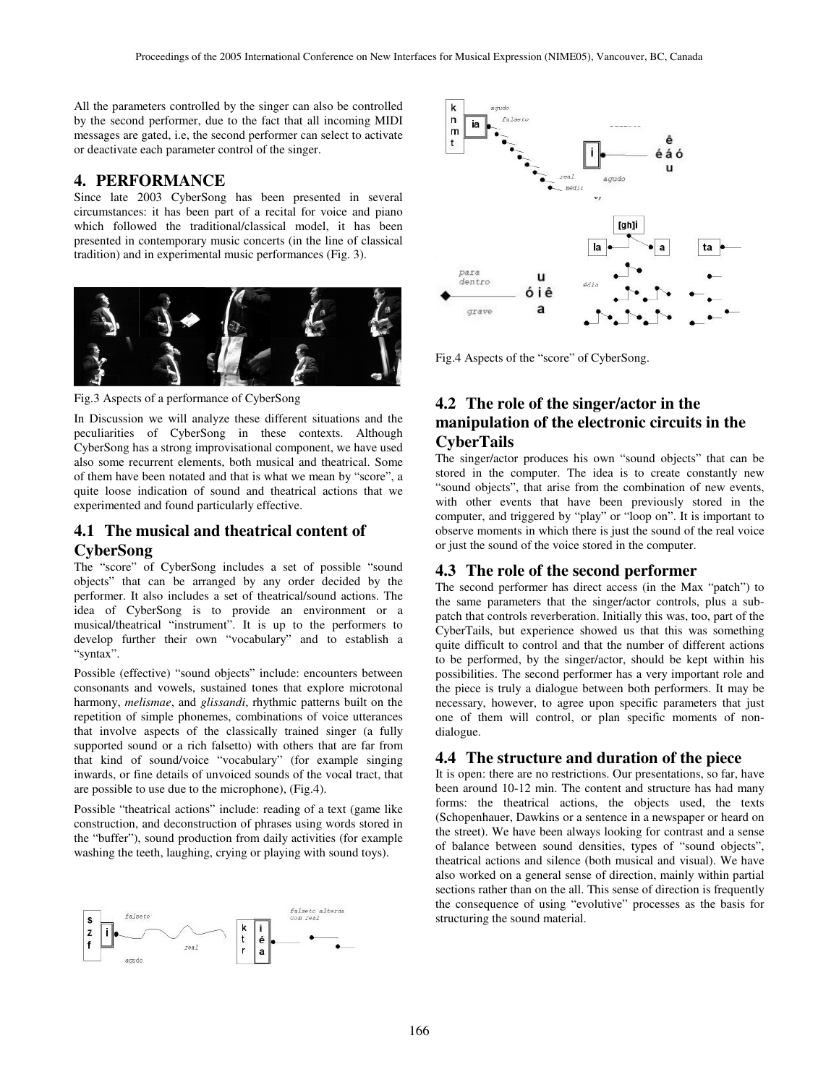All the parameters controlled by the singer can also be controlled by the second performer, due to the fact that all incoming MIDI messages are gated, i.e, the second performer can select to activate or deactivate each parameter control of the singer.

## **4. PERFORMANCE**

Since late 2003 CyberSong has been presented in several circumstances: it has been part of a recital for voice and piano which followed the traditional/classical model, it has been presented in contemporary music concerts (in the line of classical tradition) and in experimental music performances (Fig. 3).



Fig.3 Aspects of a performance of CyberSong

In Discussion we will analyze these different situations and the peculiarities of CyberSong in these contexts. Although CyberSong has a strong improvisational component, we have used also some recurrent elements, both musical and theatrical. Some of them have been notated and that is what we mean by "score", a quite loose indication of sound and theatrical actions that we experimented and found particularly effective.

# **4.1 The musical and theatrical content of CyberSong**

The "score" of CyberSong includes a set of possible "sound objects" that can be arranged by any order decided by the performer. It also includes a set of theatrical/sound actions. The idea of CyberSong is to provide an environment or a musical/theatrical "instrument". It is up to the performers to develop further their own "vocabulary" and to establish a "syntax".

Possible (effective) "sound objects" include: encounters between consonants and vowels, sustained tones that explore microtonal harmony, *melismae*, and *glissandi*, rhythmic patterns built on the repetition of simple phonemes, combinations of voice utterances that involve aspects of the classically trained singer (a fully supported sound or a rich falsetto) with others that are far from that kind of sound/voice "vocabulary" (for example singing inwards, or fine details of unvoiced sounds of the vocal tract, that are possible to use due to the microphone), (Fig.4).

Possible "theatrical actions" include: reading of a text (game like construction, and deconstruction of phrases using words stored in the "buffer"), sound production from daily activities (for example washing the teeth, laughing, crying or playing with sound toys).





Fig.4 Aspects of the "score" of CyberSong.

# **4.2 The role of the singer/actor in the manipulation of the electronic circuits in the CyberTails**

The singer/actor produces his own "sound objects" that can be stored in the computer. The idea is to create constantly new "sound objects", that arise from the combination of new events, with other events that have been previously stored in the computer, and triggered by "play" or "loop on". It is important to observe moments in which there is just the sound of the real voice or just the sound of the voice stored in the computer.

### **4.3 The role of the second performer**

The second performer has direct access (in the Max "patch") to the same parameters that the singer/actor controls, plus a subpatch that controls reverberation. Initially this was, too, part of the CyberTails, but experience showed us that this was something quite difficult to control and that the number of different actions to be performed, by the singer/actor, should be kept within his possibilities. The second performer has a very important role and the piece is truly a dialogue between both performers. It may be necessary, however, to agree upon specific parameters that just one of them will control, or plan specific moments of nondialogue.

## **4.4 The structure and duration of the piece**

It is open: there are no restrictions. Our presentations, so far, have been around 10-12 min. The content and structure has had many forms: the theatrical actions, the objects used, the texts (Schopenhauer, Dawkins or a sentence in a newspaper or heard on the street). We have been always looking for contrast and a sense of balance between sound densities, types of "sound objects", theatrical actions and silence (both musical and visual). We have also worked on a general sense of direction, mainly within partial sections rather than on the all. This sense of direction is frequently the consequence of using "evolutive" processes as the basis for structuring the sound material.